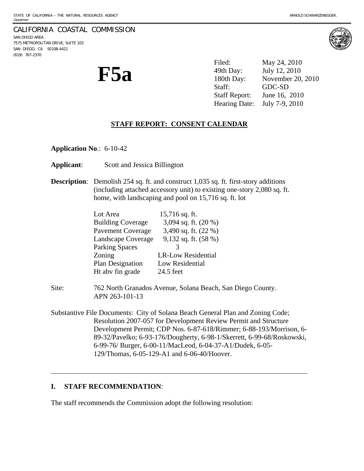#### CALIFORNIA COASTAL COMMISSION SAN DIEGO AREA 7575 METROPOLITAN DRIVE, SUITE 103 SAN DIEGO, CA 92108-4421 (619) 767-2370

**F5a** 

Filed: May 24, 2010 49th Day: July 12, 2010 180th Day: November 20, 2010 Staff: GDC-SD Staff Report: June 16, 2010 Hearing Date: July 7-9, 2010

# **STAFF REPORT: CONSENT CALENDAR**

**Application No**.: 6-10-42

**Applicant**: Scott and Jessica Billington

**Description:** Demolish 254 sq. ft. and construct 1,035 sq. ft. first-story additions (including attached accessory unit) to existing one-story 2,080 sq. ft. home, with landscaping and pool on 15,716 sq. ft. lot

| Lot Area                 | $15,716$ sq. ft.          |
|--------------------------|---------------------------|
| <b>Building Coverage</b> | 3,094 sq. ft. (20 %)      |
| <b>Pavement Coverage</b> | 3,490 sq. ft. (22 %)      |
| Landscape Coverage       | 9,132 sq. ft. $(58%)$     |
| <b>Parking Spaces</b>    |                           |
| Zoning                   | <b>LR-Low Residential</b> |
| Plan Designation         | Low Residential           |
| Ht abv fin grade         | 24.5 feet                 |

- Site: 762 North Granados Avenue, Solana Beach, San Diego County. APN 263-101-13
- Substantive File Documents: City of Solana Beach General Plan and Zoning Code; Resolution 2007-057 for Development Review Permit and Structure Development Permit; CDP Nos. 6-87-618/Rimmer; 6-88-193/Morrison, 6- 89-32/Pavelko; 6-93-176/Dougherty, 6-98-1/Skerrett, 6-99-68/Roskowski, 6-99-76/ Burger, 6-00-11/MacLeod, 6-04-37-A1/Dudek, 6-05- 129/Thomas, 6-05-129-A1 and 6-06-40/Hoover.

# **I. STAFF RECOMMENDATION**:

l

The staff recommends the Commission adopt the following resolution:

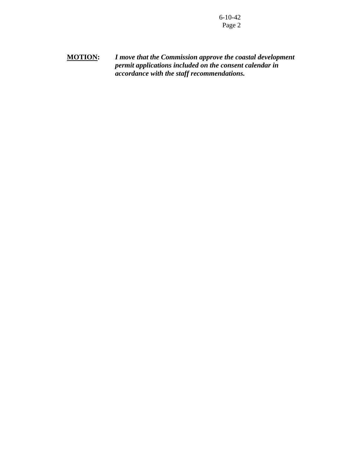**MOTION:** *I move that the Commission approve the coastal development permit applications included on the consent calendar in accordance with the staff recommendations.*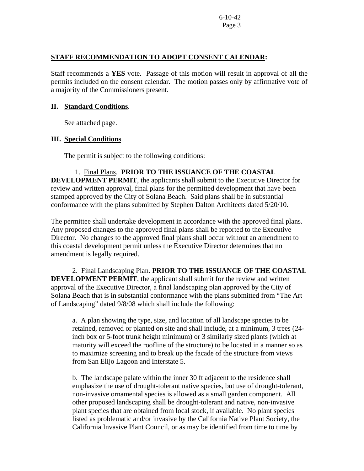## **STAFF RECOMMENDATION TO ADOPT CONSENT CALENDAR:**

Staff recommends a **YES** vote. Passage of this motion will result in approval of all the permits included on the consent calendar. The motion passes only by affirmative vote of a majority of the Commissioners present.

### **II. Standard Conditions**.

See attached page.

## **III. Special Conditions**.

The permit is subject to the following conditions:

 1. Final Plans. **PRIOR TO THE ISSUANCE OF THE COASTAL DEVELOPMENT PERMIT**, the applicants shall submit to the Executive Director for review and written approval, final plans for the permitted development that have been stamped approved by the City of Solana Beach. Said plans shall be in substantial conformance with the plans submitted by Stephen Dalton Architects dated 5/20/10.

The permittee shall undertake development in accordance with the approved final plans. Any proposed changes to the approved final plans shall be reported to the Executive Director. No changes to the approved final plans shall occur without an amendment to this coastal development permit unless the Executive Director determines that no amendment is legally required.

 2. Final Landscaping Plan. **PRIOR TO THE ISSUANCE OF THE COASTAL DEVELOPMENT PERMIT**, the applicant shall submit for the review and written approval of the Executive Director, a final landscaping plan approved by the City of Solana Beach that is in substantial conformance with the plans submitted from "The Art of Landscaping" dated 9/8/08 which shall include the following:

a. A plan showing the type, size, and location of all landscape species to be retained, removed or planted on site and shall include, at a minimum, 3 trees (24 inch box or 5-foot trunk height minimum) or 3 similarly sized plants (which at maturity will exceed the roofline of the structure) to be located in a manner so as to maximize screening and to break up the facade of the structure from views from San Elijo Lagoon and Interstate 5.

b. The landscape palate within the inner 30 ft adjacent to the residence shall emphasize the use of drought-tolerant native species, but use of drought-tolerant, non-invasive ornamental species is allowed as a small garden component. All other proposed landscaping shall be drought-tolerant and native, non-invasive plant species that are obtained from local stock, if available. No plant species listed as problematic and/or invasive by the California Native Plant Society, the California Invasive Plant Council, or as may be identified from time to time by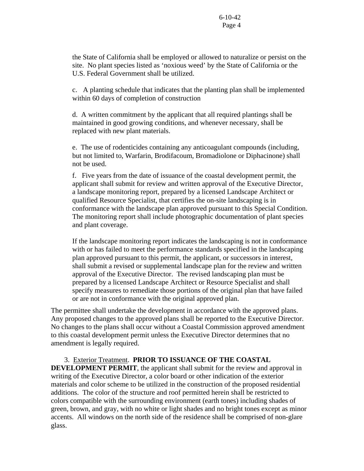the State of California shall be employed or allowed to naturalize or persist on the site. No plant species listed as 'noxious weed' by the State of California or the U.S. Federal Government shall be utilized.

c. A planting schedule that indicates that the planting plan shall be implemented within 60 days of completion of construction

d. A written commitment by the applicant that all required plantings shall be maintained in good growing conditions, and whenever necessary, shall be replaced with new plant materials.

e. The use of rodenticides containing any anticoagulant compounds (including, but not limited to, Warfarin, Brodifacoum, Bromadiolone or Diphacinone) shall not be used.

f. Five years from the date of issuance of the coastal development permit, the applicant shall submit for review and written approval of the Executive Director, a landscape monitoring report, prepared by a licensed Landscape Architect or qualified Resource Specialist, that certifies the on-site landscaping is in conformance with the landscape plan approved pursuant to this Special Condition. The monitoring report shall include photographic documentation of plant species and plant coverage.

If the landscape monitoring report indicates the landscaping is not in conformance with or has failed to meet the performance standards specified in the landscaping plan approved pursuant to this permit, the applicant, or successors in interest, shall submit a revised or supplemental landscape plan for the review and written approval of the Executive Director. The revised landscaping plan must be prepared by a licensed Landscape Architect or Resource Specialist and shall specify measures to remediate those portions of the original plan that have failed or are not in conformance with the original approved plan.

The permittee shall undertake the development in accordance with the approved plans. Any proposed changes to the approved plans shall be reported to the Executive Director. No changes to the plans shall occur without a Coastal Commission approved amendment to this coastal development permit unless the Executive Director determines that no amendment is legally required.

 3. Exterior Treatment. **PRIOR TO ISSUANCE OF THE COASTAL DEVELOPMENT PERMIT**, the applicant shall submit for the review and approval in writing of the Executive Director, a color board or other indication of the exterior materials and color scheme to be utilized in the construction of the proposed residential additions. The color of the structure and roof permitted herein shall be restricted to colors compatible with the surrounding environment (earth tones) including shades of green, brown, and gray, with no white or light shades and no bright tones except as minor accents. All windows on the north side of the residence shall be comprised of non-glare glass.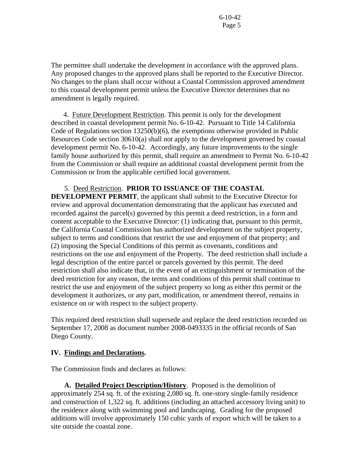The permittee shall undertake the development in accordance with the approved plans. Any proposed changes to the approved plans shall be reported to the Executive Director. No changes to the plans shall occur without a Coastal Commission approved amendment to this coastal development permit unless the Executive Director determines that no amendment is legally required.

 4. Future Development Restriction. This permit is only for the development described in coastal development permit No. 6-10-42. Pursuant to Title 14 California Code of Regulations section 13250(b)(6), the exemptions otherwise provided in Public Resources Code section 30610(a) shall not apply to the development governed by coastal development permit No. 6-10-42.Accordingly, any future improvements to the single family house authorized by this permit, shall require an amendment to Permit No. 6-10-42 from the Commission or shall require an additional coastal development permit from the Commission or from the applicable certified local government.

 5. Deed Restriction. **PRIOR TO ISSUANCE OF THE COASTAL DEVELOPMENT PERMIT**, the applicant shall submit to the Executive Director for review and approval documentation demonstrating that the applicant has executed and recorded against the parcel(s) governed by this permit a deed restriction, in a form and content acceptable to the Executive Director: (1) indicating that, pursuant to this permit, the California Coastal Commission has authorized development on the subject property, subject to terms and conditions that restrict the use and enjoyment of that property; and (2) imposing the Special Conditions of this permit as covenants, conditions and restrictions on the use and enjoyment of the Property. The deed restriction shall include a legal description of the entire parcel or parcels governed by this permit. The deed restriction shall also indicate that, in the event of an extinguishment or termination of the deed restriction for any reason, the terms and conditions of this permit shall continue to restrict the use and enjoyment of the subject property so long as either this permit or the development it authorizes, or any part, modification, or amendment thereof, remains in existence on or with respect to the subject property.

This required deed restriction shall supersede and replace the deed restriction recorded on September 17, 2008 as document number 2008-0493335 in the official records of San Diego County.

## **IV. Findings and Declarations.**

The Commission finds and declares as follows:

**A. Detailed Project Description/History**. Proposed is the demolition of approximately 254 sq. ft. of the existing 2,080 sq. ft. one-story single-family residence and construction of 1,322 sq. ft. additions (including an attached accessory living unit) to the residence along with swimming pool and landscaping. Grading for the proposed additions will involve approximately 150 cubic yards of export which will be taken to a site outside the coastal zone.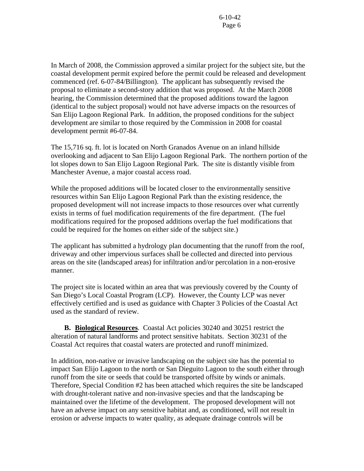In March of 2008, the Commission approved a similar project for the subject site, but the coastal development permit expired before the permit could be released and development commenced (ref. 6-07-84/Billington). The applicant has subsequently revised the proposal to eliminate a second-story addition that was proposed. At the March 2008 hearing, the Commission determined that the proposed additions toward the lagoon (identical to the subject proposal) would not have adverse impacts on the resources of San Elijo Lagoon Regional Park. In addition, the proposed conditions for the subject development are similar to those required by the Commission in 2008 for coastal development permit #6-07-84.

The 15,716 sq. ft. lot is located on North Granados Avenue on an inland hillside overlooking and adjacent to San Elijo Lagoon Regional Park. The northern portion of the lot slopes down to San Elijo Lagoon Regional Park. The site is distantly visible from Manchester Avenue, a major coastal access road.

While the proposed additions will be located closer to the environmentally sensitive resources within San Elijo Lagoon Regional Park than the existing residence, the proposed development will not increase impacts to those resources over what currently exists in terms of fuel modification requirements of the fire department. (The fuel modifications required for the proposed additions overlap the fuel modifications that could be required for the homes on either side of the subject site.)

The applicant has submitted a hydrology plan documenting that the runoff from the roof, driveway and other impervious surfaces shall be collected and directed into pervious areas on the site (landscaped areas) for infiltration and/or percolation in a non-erosive manner.

The project site is located within an area that was previously covered by the County of San Diego's Local Coastal Program (LCP). However, the County LCP was never effectively certified and is used as guidance with Chapter 3 Policies of the Coastal Act used as the standard of review.

 **B. Biological Resources**. Coastal Act policies 30240 and 30251 restrict the alteration of natural landforms and protect sensitive habitats. Section 30231 of the Coastal Act requires that coastal waters are protected and runoff minimized.

In addition, non-native or invasive landscaping on the subject site has the potential to impact San Elijo Lagoon to the north or San Dieguito Lagoon to the south either through runoff from the site or seeds that could be transported offsite by winds or animals. Therefore, Special Condition #2 has been attached which requires the site be landscaped with drought-tolerant native and non-invasive species and that the landscaping be maintained over the lifetime of the development. The proposed development will not have an adverse impact on any sensitive habitat and, as conditioned, will not result in erosion or adverse impacts to water quality, as adequate drainage controls will be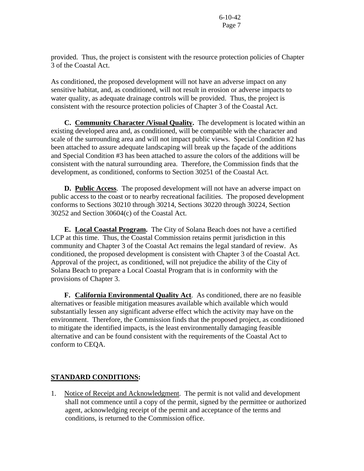provided. Thus, the project is consistent with the resource protection policies of Chapter 3 of the Coastal Act.

As conditioned, the proposed development will not have an adverse impact on any sensitive habitat, and, as conditioned, will not result in erosion or adverse impacts to water quality, as adequate drainage controls will be provided. Thus, the project is consistent with the resource protection policies of Chapter 3 of the Coastal Act.

 **C. Community Character /Visual Quality.** The development is located within an existing developed area and, as conditioned, will be compatible with the character and scale of the surrounding area and will not impact public views. Special Condition #2 has been attached to assure adequate landscaping will break up the façade of the additions and Special Condition #3 has been attached to assure the colors of the additions will be consistent with the natural surrounding area. Therefore, the Commission finds that the development, as conditioned, conforms to Section 30251 of the Coastal Act.

**D. Public Access**. The proposed development will not have an adverse impact on public access to the coast or to nearby recreational facilities. The proposed development conforms to Sections 30210 through 30214, Sections 30220 through 30224, Section 30252 and Section 30604(c) of the Coastal Act.

**E. Local Coastal Program.** The City of Solana Beach does not have a certified LCP at this time. Thus, the Coastal Commission retains permit jurisdiction in this community and Chapter 3 of the Coastal Act remains the legal standard of review. As conditioned, the proposed development is consistent with Chapter 3 of the Coastal Act. Approval of the project, as conditioned, will not prejudice the ability of the City of Solana Beach to prepare a Local Coastal Program that is in conformity with the provisions of Chapter 3.

 **F. California Environmental Quality Act**. As conditioned, there are no feasible alternatives or feasible mitigation measures available which available which would substantially lessen any significant adverse effect which the activity may have on the environment. Therefore, the Commission finds that the proposed project, as conditioned to mitigate the identified impacts, is the least environmentally damaging feasible alternative and can be found consistent with the requirements of the Coastal Act to conform to CEQA.

# **STANDARD CONDITIONS:**

1. Notice of Receipt and Acknowledgment. The permit is not valid and development shall not commence until a copy of the permit, signed by the permittee or authorized agent, acknowledging receipt of the permit and acceptance of the terms and conditions, is returned to the Commission office.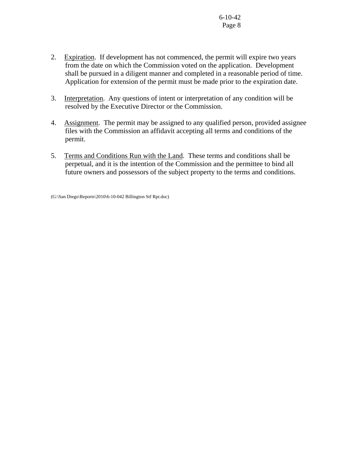- 2. Expiration. If development has not commenced, the permit will expire two years from the date on which the Commission voted on the application. Development shall be pursued in a diligent manner and completed in a reasonable period of time. Application for extension of the permit must be made prior to the expiration date.
- 3. Interpretation. Any questions of intent or interpretation of any condition will be resolved by the Executive Director or the Commission.
- 4. Assignment. The permit may be assigned to any qualified person, provided assignee files with the Commission an affidavit accepting all terms and conditions of the permit.
- 5. Terms and Conditions Run with the Land. These terms and conditions shall be perpetual, and it is the intention of the Commission and the permittee to bind all future owners and possessors of the subject property to the terms and conditions.

(G:\San Diego\Reports\2010\6-10-042 Billington Stf Rpt.doc)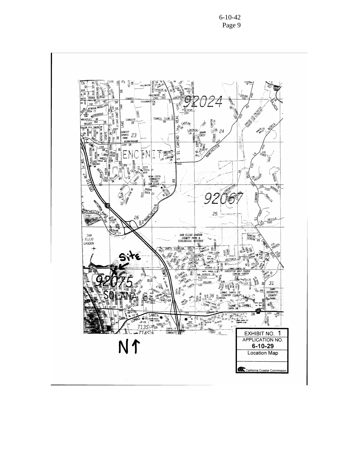